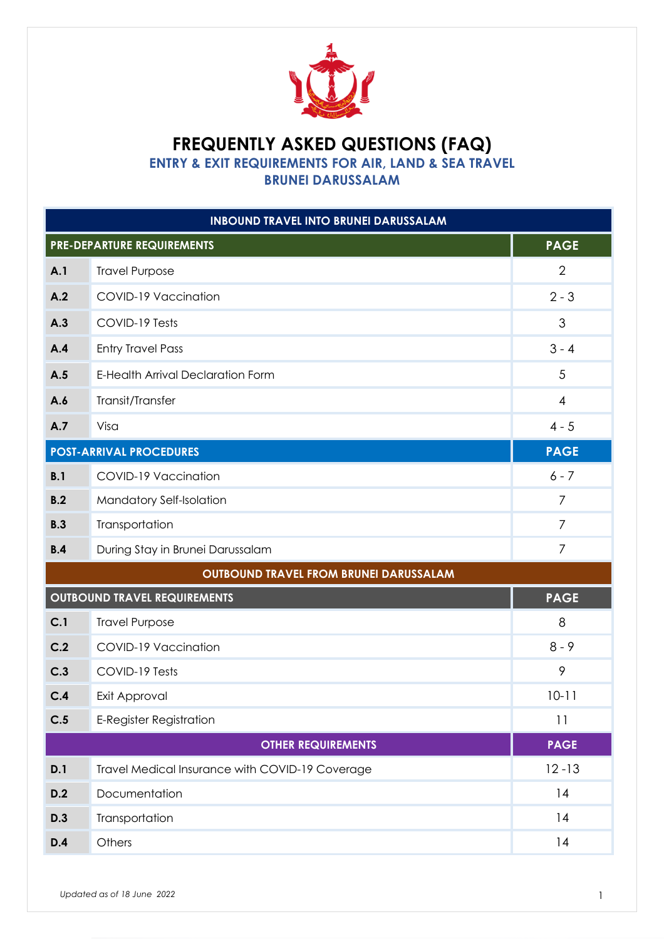

# **FREQUENTLY ASKED QUESTIONS (FAQ)**

**ENTRY & EXIT REQUIREMENTS FOR AIR, LAND & SEA TRAVEL** 

**BRUNEI DARUSSALAM**

| <b>INBOUND TRAVEL INTO BRUNEI DARUSSALAM</b> |                                                  |                |  |
|----------------------------------------------|--------------------------------------------------|----------------|--|
|                                              | <b>PAGE</b><br><b>PRE-DEPARTURE REQUIREMENTS</b> |                |  |
| A.1                                          | <b>Travel Purpose</b>                            | $\overline{2}$ |  |
| A.2                                          | COVID-19 Vaccination                             | $2 - 3$        |  |
| A.3                                          | COVID-19 Tests                                   | 3              |  |
| A.4                                          | <b>Entry Travel Pass</b>                         | $3 - 4$        |  |
| A.5                                          | <b>E-Health Arrival Declaration Form</b>         | 5              |  |
| A.6                                          | Transit/Transfer                                 | 4              |  |
| A.7                                          | Visa                                             | $4 - 5$        |  |
|                                              | <b>POST-ARRIVAL PROCEDURES</b>                   | <b>PAGE</b>    |  |
| B.1                                          | COVID-19 Vaccination                             | $6 - 7$        |  |
| B.2                                          | Mandatory Self-Isolation                         | $\overline{7}$ |  |
| B.3                                          | Transportation                                   | 7              |  |
| B.4                                          | During Stay in Brunei Darussalam                 | 7              |  |
|                                              | <b>OUTBOUND TRAVEL FROM BRUNEI DARUSSALAM</b>    |                |  |
|                                              | <b>OUTBOUND TRAVEL REQUIREMENTS</b>              | <b>PAGE</b>    |  |
| C.1                                          | <b>Travel Purpose</b>                            | 8              |  |
| C.2                                          | COVID-19 Vaccination                             | $8 - 9$        |  |
| C.3                                          | COVID-19 Tests                                   | 9              |  |
| C.4                                          | Exit Approval                                    | $10 - 11$      |  |
| C.5                                          | <b>E-Register Registration</b>                   | 11             |  |
|                                              | <b>OTHER REQUIREMENTS</b>                        | <b>PAGE</b>    |  |
| D.1                                          | Travel Medical Insurance with COVID-19 Coverage  | $12 - 13$      |  |
| D.2                                          | Documentation                                    | 14             |  |
| D.3                                          | Transportation                                   | 14             |  |
| D.4                                          | Others                                           | 14             |  |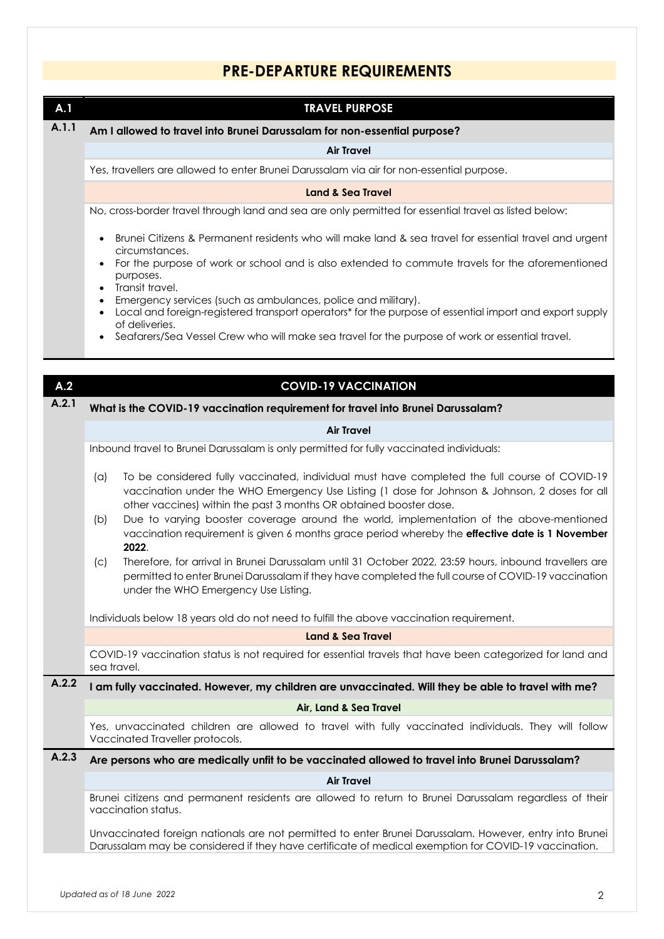### **PRE-DEPARTURE REQUIREMENTS**

| A.1          | <b>TRAVEL PURPOSE</b>                                                                                                                                                                                                                                                                         |
|--------------|-----------------------------------------------------------------------------------------------------------------------------------------------------------------------------------------------------------------------------------------------------------------------------------------------|
| A.1.1        | Am I allowed to travel into Brunei Darussalam for non-essential purpose?                                                                                                                                                                                                                      |
|              | <b>Air Travel</b>                                                                                                                                                                                                                                                                             |
|              | Yes, travellers are allowed to enter Brunei Darussalam via air for non-essential purpose.                                                                                                                                                                                                     |
|              | <b>Land &amp; Sea Travel</b>                                                                                                                                                                                                                                                                  |
|              | No, cross-border travel through land and sea are only permitted for essential travel as listed below:                                                                                                                                                                                         |
|              | Brunei Citizens & Permanent residents who will make land & sea travel for essential travel and urgent<br>circumstances.                                                                                                                                                                       |
|              | For the purpose of work or school and is also extended to commute travels for the aforementioned<br>purposes.<br>Transit travel.                                                                                                                                                              |
|              | Emergency services (such as ambulances, police and military).<br>Local and foreign-registered transport operators* for the purpose of essential import and export supply<br>of deliveries.<br>Seafarers/Sea Vessel Crew who will make sea travel for the purpose of work or essential travel. |
|              |                                                                                                                                                                                                                                                                                               |
|              |                                                                                                                                                                                                                                                                                               |
| A.2<br>A.2.1 | <b>COVID-19 VACCINATION</b>                                                                                                                                                                                                                                                                   |
|              | What is the COVID-19 vaccination requirement for travel into Brunei Darussalam?                                                                                                                                                                                                               |
|              | <b>Air Travel</b>                                                                                                                                                                                                                                                                             |
|              | Inbound travel to Brunei Darussalam is only permitted for fully vaccinated individuals:                                                                                                                                                                                                       |
|              | To be considered fully vaccinated, individual must have completed the full course of COVID-19<br>(a)<br>vaccination under the WHO Emergency Use Listing (1 dose for Johnson & Johnson, 2 doses for all<br>other vaccines) within the past 3 months OR obtained booster dose.                  |
|              | Due to varying booster coverage around the world, implementation of the above-mentioned<br>(b)<br>vaccination requirement is given 6 months grace period whereby the effective date is 1 November<br>2022.                                                                                    |
|              | Therefore, for arrival in Brunei Darussalam until 31 October 2022, 23:59 hours, inbound travellers are<br>(C)<br>permitted to enter Brunei Darussalam if they have completed the full course of COVID-19 vaccination<br>under the WHO Emergency Use Listing.                                  |
|              | Individuals below 18 years old do not need to fulfill the above vaccination requirement.                                                                                                                                                                                                      |
|              | <b>Land &amp; Sea Travel</b>                                                                                                                                                                                                                                                                  |
|              | COVID-19 vaccination status is not required for essential travels that have been categorized for land and<br>sea travel.                                                                                                                                                                      |
| A.2.2        | I am fully vaccinated. However, my children are unvaccinated. Will they be able to travel with me?                                                                                                                                                                                            |
|              | Air, Land & Sea Travel                                                                                                                                                                                                                                                                        |
|              | Yes, unvaccinated children are allowed to travel with fully vaccinated individuals. They will follow<br>Vaccinated Traveller protocols.                                                                                                                                                       |
| A.2.3        | Are persons who are medically unfit to be vaccinated allowed to travel into Brunei Darussalam?                                                                                                                                                                                                |
|              | <b>Air Travel</b>                                                                                                                                                                                                                                                                             |
|              | Brunei citizens and permanent residents are allowed to return to Brunei Darussalam regardless of their<br>vaccination status.                                                                                                                                                                 |
|              | Unvaccinated foreign nationals are not permitted to enter Brunei Darussalam. However, entry into Brunei<br>Darussalam may be considered if they have certificate of medical exemption for COVID-19 vaccination.                                                                               |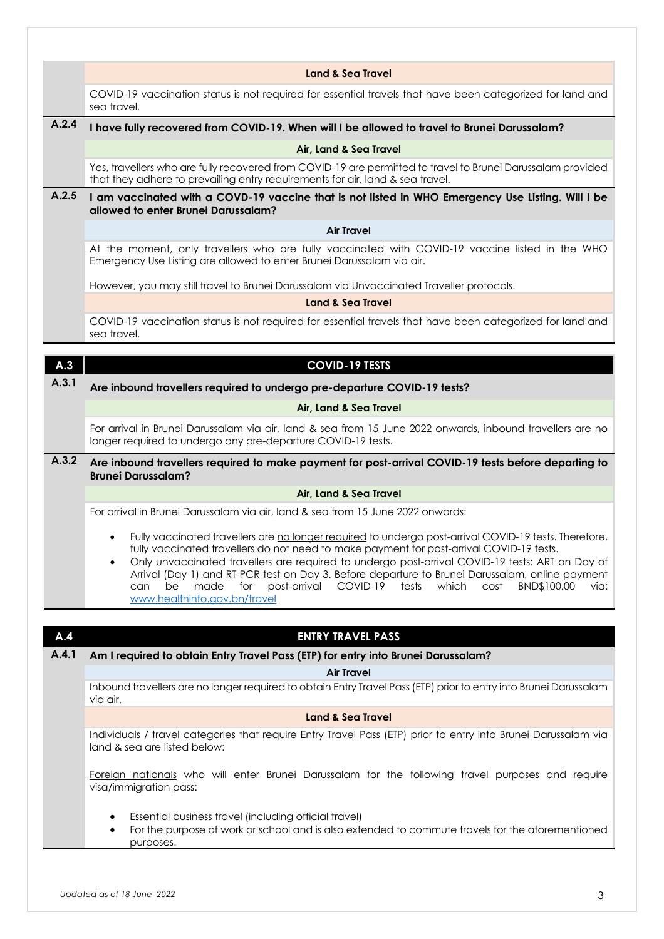|              | Land & Sea Travel                                                                                                                                                                                                                                                                                                                                                                                                                                                                                                                                             |
|--------------|---------------------------------------------------------------------------------------------------------------------------------------------------------------------------------------------------------------------------------------------------------------------------------------------------------------------------------------------------------------------------------------------------------------------------------------------------------------------------------------------------------------------------------------------------------------|
|              | COVID-19 vaccination status is not required for essential travels that have been categorized for land and<br>sea travel.                                                                                                                                                                                                                                                                                                                                                                                                                                      |
| A.2.4        | I have fully recovered from COVID-19. When will I be allowed to travel to Brunei Darussalam?                                                                                                                                                                                                                                                                                                                                                                                                                                                                  |
|              | Air, Land & Sea Travel                                                                                                                                                                                                                                                                                                                                                                                                                                                                                                                                        |
|              | Yes, travellers who are fully recovered from COVID-19 are permitted to travel to Brunei Darussalam provided<br>that they adhere to prevailing entry requirements for air, land & sea travel.                                                                                                                                                                                                                                                                                                                                                                  |
| A.2.5        | I am vaccinated with a COVD-19 vaccine that is not listed in WHO Emergency Use Listing. Will I be<br>allowed to enter Brunei Darussalam?                                                                                                                                                                                                                                                                                                                                                                                                                      |
|              | <b>Air Travel</b>                                                                                                                                                                                                                                                                                                                                                                                                                                                                                                                                             |
|              | At the moment, only travellers who are fully vaccinated with COVID-19 vaccine listed in the WHO<br>Emergency Use Listing are allowed to enter Brunei Darussalam via air.                                                                                                                                                                                                                                                                                                                                                                                      |
|              | However, you may still travel to Brunei Darussalam via Unvaccinated Traveller protocols.                                                                                                                                                                                                                                                                                                                                                                                                                                                                      |
|              | <b>Land &amp; Sea Travel</b>                                                                                                                                                                                                                                                                                                                                                                                                                                                                                                                                  |
|              | COVID-19 vaccination status is not required for essential travels that have been categorized for land and<br>sea travel.                                                                                                                                                                                                                                                                                                                                                                                                                                      |
|              |                                                                                                                                                                                                                                                                                                                                                                                                                                                                                                                                                               |
| A.3<br>A.3.1 | <b>COVID-19 TESTS</b>                                                                                                                                                                                                                                                                                                                                                                                                                                                                                                                                         |
|              | Are inbound travellers required to undergo pre-departure COVID-19 tests?                                                                                                                                                                                                                                                                                                                                                                                                                                                                                      |
|              | Air, Land & Sea Travel                                                                                                                                                                                                                                                                                                                                                                                                                                                                                                                                        |
|              | For arrival in Brunei Darussalam via air, land & sea from 15 June 2022 onwards, inbound travellers are no<br>longer required to undergo any pre-departure COVID-19 tests.                                                                                                                                                                                                                                                                                                                                                                                     |
| A.3.2        | Are inbound travellers required to make payment for post-arrival COVID-19 tests before departing to<br><b>Brunei Darussalam?</b>                                                                                                                                                                                                                                                                                                                                                                                                                              |
|              | Air, Land & Sea Travel                                                                                                                                                                                                                                                                                                                                                                                                                                                                                                                                        |
|              | For arrival in Brunei Darussalam via air, land & sea from 15 June 2022 onwards:                                                                                                                                                                                                                                                                                                                                                                                                                                                                               |
|              | Fully vaccinated travellers are no longer required to undergo post-arrival COVID-19 tests. Therefore,<br>fully vaccinated travellers do not need to make payment for post-arrival COVID-19 tests.<br>Only unvaccinated travellers are required to undergo post-arrival COVID-19 tests: ART on Day of<br>$\bullet$<br>Arrival (Day 1) and RT-PCR test on Day 3. Before departure to Brunei Darussalam, online payment<br>made<br>post-arrival<br>COVID-19<br>which<br>be<br>for<br>tests<br>cost<br>BND\$100.00<br>via:<br>can<br>www.healthinfo.gov.bn/travel |
|              |                                                                                                                                                                                                                                                                                                                                                                                                                                                                                                                                                               |
| A.4          | <b>ENTRY TRAVEL PASS</b>                                                                                                                                                                                                                                                                                                                                                                                                                                                                                                                                      |
| A.4.1        | Am I required to obtain Entry Travel Pass (ETP) for entry into Brunei Darussalam?<br><b>Air Travel</b>                                                                                                                                                                                                                                                                                                                                                                                                                                                        |
|              | Inbound travellers are no longer required to obtain Entry Travel Pass (ETP) prior to entry into Brunei Darussalam<br>via air.                                                                                                                                                                                                                                                                                                                                                                                                                                 |
|              | <b>Land &amp; Sea Travel</b>                                                                                                                                                                                                                                                                                                                                                                                                                                                                                                                                  |
|              |                                                                                                                                                                                                                                                                                                                                                                                                                                                                                                                                                               |
|              | Individuals / travel categories that require Entry Travel Pass (ETP) prior to entry into Brunei Darussalam via<br>land & sea are listed below:                                                                                                                                                                                                                                                                                                                                                                                                                |
|              | Foreign nationals who will enter Brunei Darussalam for the following travel purposes and require<br>visa/immigration pass:                                                                                                                                                                                                                                                                                                                                                                                                                                    |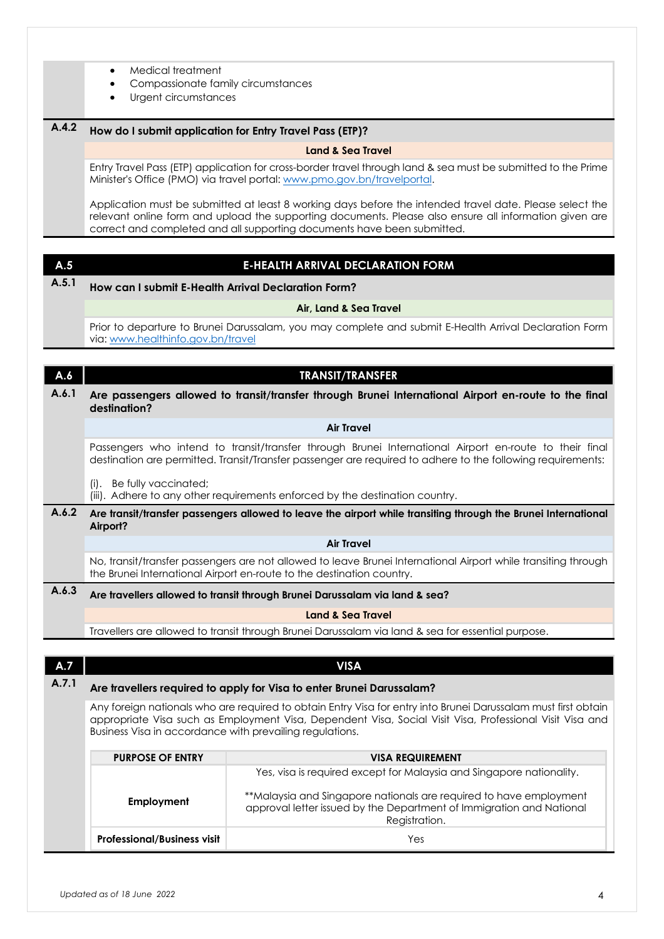| Medical treatment |  |
|-------------------|--|
|-------------------|--|

- Compassionate family circumstances
- Urgent circumstances

#### **A.4.2 How do I submit application for Entry Travel Pass (ETP)?**

#### **Land & Sea Travel**

Entry Travel Pass (ETP) application for cross-border travel through land & sea must be submitted to the Prime Minister's Office (PMO) via travel portal: www.pmo.gov.bn/travelportal.

Application must be submitted at least 8 working days before the intended travel date. Please select the relevant online form and upload the supporting documents. Please also ensure all information given are correct and completed and all supporting documents have been submitted.

# **A.5 E-HEALTH ARRIVAL DECLARATION FORM**

### **A.5.1 How can I submit E-Health Arrival Declaration Form?**

#### **Air, Land & Sea Travel**

Prior to departure to Brunei Darussalam, you may complete and submit E-Health Arrival Declaration Form via: www.healthinfo.gov.bn/travel

#### **A.6 TRANSIT/TRANSFER A.6.1 Are passengers allowed to transit/transfer through Brunei International Airport en-route to the final destination? Air Travel**

Passengers who intend to transit/transfer through Brunei International Airport en-route to their final destination are permitted. Transit/Transfer passenger are required to adhere to the following requirements:

(i). Be fully vaccinated;

(iii). Adhere to any other requirements enforced by the destination country.

### **A.6.2 Are transit/transfer passengers allowed to leave the airport while transiting through the Brunei International Airport?**

**Air Travel**

No, transit/transfer passengers are not allowed to leave Brunei International Airport while transiting through the Brunei International Airport en-route to the destination country.

### **A.6.3 Are travellers allowed to transit through Brunei Darussalam via land & sea?**

#### **Land & Sea Travel**

Travellers are allowed to transit through Brunei Darussalam via land & sea for essential purpose.

### **A.7 VISA**

### **A.7.1 Are travellers required to apply for Visa to enter Brunei Darussalam?**

Any foreign nationals who are required to obtain Entry Visa for entry into Brunei Darussalam must first obtain appropriate Visa such as Employment Visa, Dependent Visa, Social Visit Visa, Professional Visit Visa and Business Visa in accordance with prevailing regulations.

| <b>PURPOSE OF ENTRY</b>            | <b>VISA REQUIREMENT</b>                                                                                                                                     |
|------------------------------------|-------------------------------------------------------------------------------------------------------------------------------------------------------------|
|                                    | Yes, visa is required except for Malaysia and Singapore nationality.                                                                                        |
| Employment                         | **Malaysia and Singapore nationals are required to have employment<br>approval letter issued by the Department of Immigration and National<br>Registration. |
| <b>Professional/Business visit</b> | Yes                                                                                                                                                         |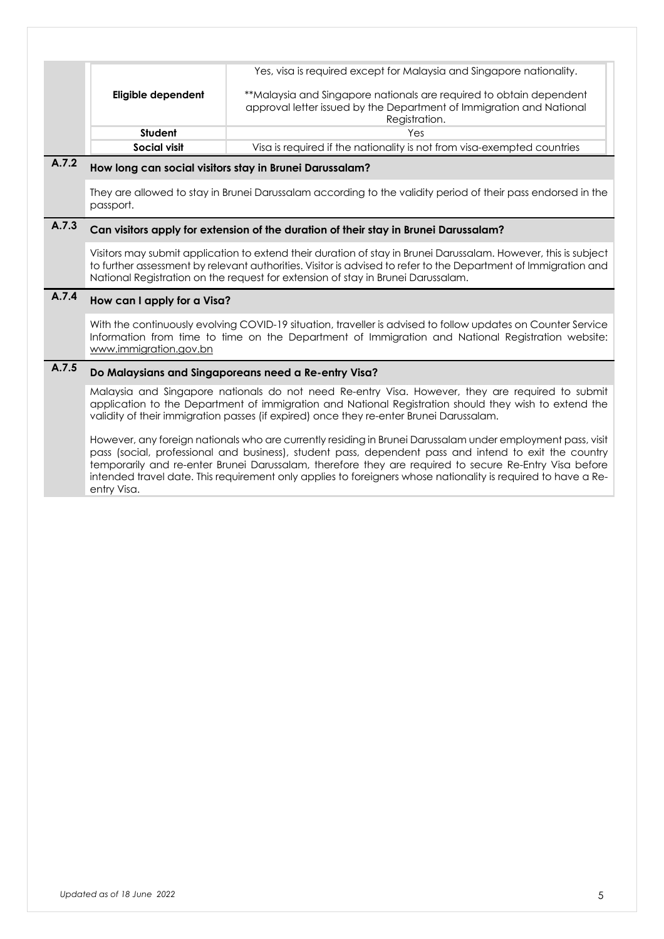|                    | Yes, visa is required except for Malaysia and Singapore nationality.    |
|--------------------|-------------------------------------------------------------------------|
|                    |                                                                         |
| Eligible dependent | **Malaysia and Singapore nationals are required to obtain dependent     |
|                    | approval letter issued by the Department of Immigration and National    |
|                    | Registration.                                                           |
| Student            | Yes                                                                     |
| Social visit       | Visa is required if the nationality is not from visa-exempted countries |

### **A.7.2 How long can social visitors stay in Brunei Darussalam?**

They are allowed to stay in Brunei Darussalam according to the validity period of their pass endorsed in the passport.

### **A.7.3 Can visitors apply for extension of the duration of their stay in Brunei Darussalam?**

Visitors may submit application to extend their duration of stay in Brunei Darussalam. However, this is subject to further assessment by relevant authorities. Visitor is advised to refer to the Department of Immigration and National Registration on the request for extension of stay in Brunei Darussalam.

### **A.7.4 How can I apply for a Visa?**

With the continuously evolving COVID-19 situation, traveller is advised to follow updates on Counter Service Information from time to time on the Department of Immigration and National Registration website: www.immigration.gov.bn

### **A.7.5 Do Malaysians and Singaporeans need a Re-entry Visa?**

Malaysia and Singapore nationals do not need Re-entry Visa. However, they are required to submit application to the Department of immigration and National Registration should they wish to extend the validity of their immigration passes (if expired) once they re-enter Brunei Darussalam.

However, any foreign nationals who are currently residing in Brunei Darussalam under employment pass, visit pass (social, professional and business), student pass, dependent pass and intend to exit the country temporarily and re-enter Brunei Darussalam, therefore they are required to secure Re-Entry Visa before intended travel date. This requirement only applies to foreigners whose nationality is required to have a Reentry Visa.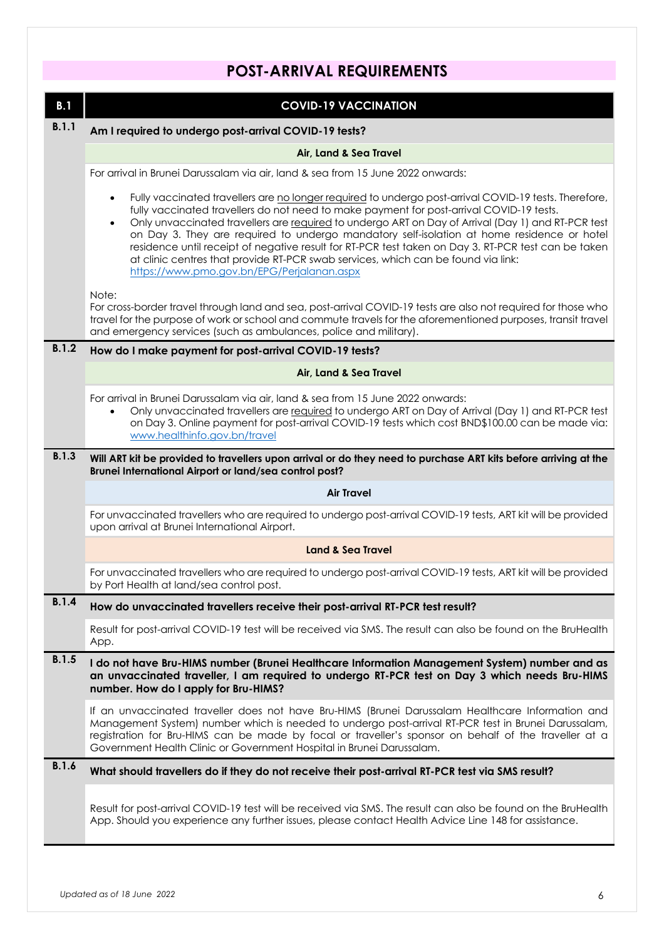## **POST-ARRIVAL REQUIREMENTS**

| B.1   | <b>COVID-19 VACCINATION</b>                                                                                                                                                                                                                                                                                                                                                                                                                                                                                                                                                                                                                                               |
|-------|---------------------------------------------------------------------------------------------------------------------------------------------------------------------------------------------------------------------------------------------------------------------------------------------------------------------------------------------------------------------------------------------------------------------------------------------------------------------------------------------------------------------------------------------------------------------------------------------------------------------------------------------------------------------------|
| B.1.1 | Am I required to undergo post-arrival COVID-19 tests?                                                                                                                                                                                                                                                                                                                                                                                                                                                                                                                                                                                                                     |
|       | Air, Land & Sea Travel                                                                                                                                                                                                                                                                                                                                                                                                                                                                                                                                                                                                                                                    |
|       | For arrival in Brunei Darussalam via air, land & sea from 15 June 2022 onwards:                                                                                                                                                                                                                                                                                                                                                                                                                                                                                                                                                                                           |
|       | Fully vaccinated travellers are no longer required to undergo post-arrival COVID-19 tests. Therefore,<br>$\bullet$<br>fully vaccinated travellers do not need to make payment for post-arrival COVID-19 tests.<br>Only unvaccinated travellers are required to undergo ART on Day of Arrival (Day 1) and RT-PCR test<br>$\bullet$<br>on Day 3. They are required to undergo mandatory self-isolation at home residence or hotel<br>residence until receipt of negative result for RT-PCR test taken on Day 3. RT-PCR test can be taken<br>at clinic centres that provide RT-PCR swab services, which can be found via link:<br>https://www.pmo.gov.bn/EPG/Perjalanan.aspx |
|       | Note:<br>For cross-border travel through land and sea, post-arrival COVID-19 tests are also not required for those who<br>travel for the purpose of work or school and commute travels for the aforementioned purposes, transit travel<br>and emergency services (such as ambulances, police and military).                                                                                                                                                                                                                                                                                                                                                               |
| B.1.2 | How do I make payment for post-arrival COVID-19 tests?                                                                                                                                                                                                                                                                                                                                                                                                                                                                                                                                                                                                                    |
|       | Air, Land & Sea Travel                                                                                                                                                                                                                                                                                                                                                                                                                                                                                                                                                                                                                                                    |
|       | For arrival in Brunei Darussalam via air, land & sea from 15 June 2022 onwards:<br>Only unvaccinated travellers are required to undergo ART on Day of Arrival (Day 1) and RT-PCR test<br>on Day 3. Online payment for post-arrival COVID-19 tests which cost BND\$100.00 can be made via:<br>www.healthinfo.gov.bn/travel                                                                                                                                                                                                                                                                                                                                                 |
| B.1.3 | Will ART kit be provided to travellers upon arrival or do they need to purchase ART kits before arriving at the<br>Brunei International Airport or land/sea control post?                                                                                                                                                                                                                                                                                                                                                                                                                                                                                                 |
|       | <b>Air Travel</b>                                                                                                                                                                                                                                                                                                                                                                                                                                                                                                                                                                                                                                                         |
|       | For unvaccinated travellers who are required to undergo post-arrival COVID-19 tests, ART kit will be provided<br>upon arrival at Brunei International Airport.                                                                                                                                                                                                                                                                                                                                                                                                                                                                                                            |
|       | <b>Land &amp; Sea Travel</b>                                                                                                                                                                                                                                                                                                                                                                                                                                                                                                                                                                                                                                              |
|       | For unvaccinated travellers who are required to undergo post-arrival COVID-19 tests, ART kit will be provided<br>by Port Health at land/sea control post.                                                                                                                                                                                                                                                                                                                                                                                                                                                                                                                 |
| B.1.4 | How do unvaccinated travellers receive their post-arrival RT-PCR test result?                                                                                                                                                                                                                                                                                                                                                                                                                                                                                                                                                                                             |
|       | Result for post-arrival COVID-19 test will be received via SMS. The result can also be found on the BruHealth<br>App.                                                                                                                                                                                                                                                                                                                                                                                                                                                                                                                                                     |
| B.1.5 | I do not have Bru-HIMS number (Brunei Healthcare Information Management System) number and as<br>an unvaccinated traveller, I am required to undergo RT-PCR test on Day 3 which needs Bru-HIMS<br>number. How do I apply for Bru-HIMS?                                                                                                                                                                                                                                                                                                                                                                                                                                    |
|       | If an unvaccinated traveller does not have Bru-HIMS (Brunei Darussalam Healthcare Information and<br>Management System) number which is needed to undergo post-arrival RT-PCR test in Brunei Darussalam,<br>registration for Bru-HIMS can be made by focal or traveller's sponsor on behalf of the traveller at a<br>Government Health Clinic or Government Hospital in Brunei Darussalam.                                                                                                                                                                                                                                                                                |
| B.1.6 | What should travellers do if they do not receive their post-arrival RT-PCR test via SMS result?                                                                                                                                                                                                                                                                                                                                                                                                                                                                                                                                                                           |
|       | Result for post-arrival COVID-19 test will be received via SMS. The result can also be found on the BruHealth<br>App. Should you experience any further issues, please contact Health Advice Line 148 for assistance.                                                                                                                                                                                                                                                                                                                                                                                                                                                     |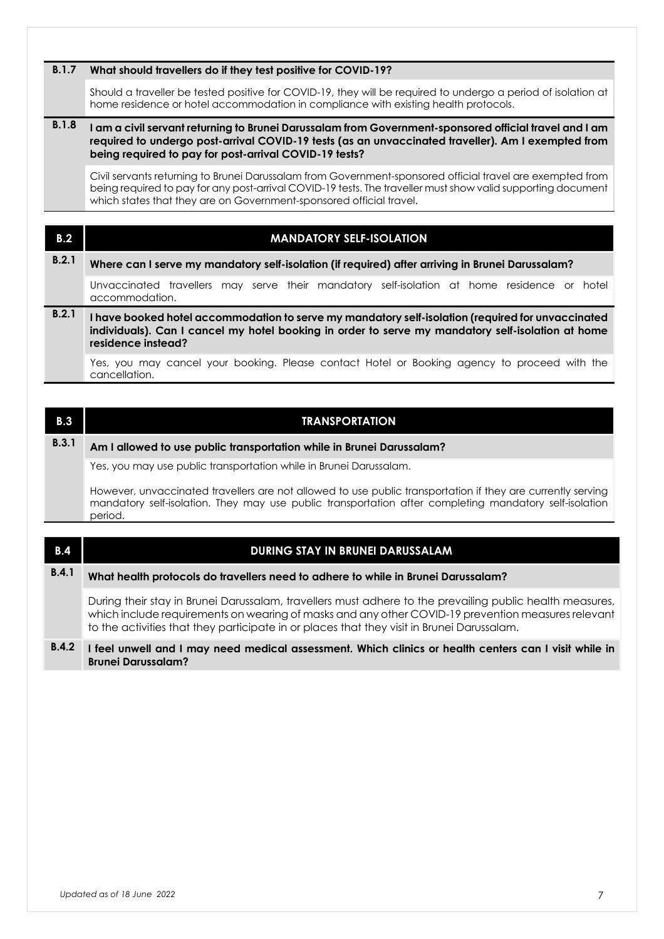#### **B.1.7 What should travellers do if they test positive for COVID-19?**

Should a traveller be tested positive for COVID-19, they will be required to undergo a period of isolation at home residence or hotel accommodation in compliance with existing health protocols.

#### **B.1.8 I am a civil servant returning to Brunei Darussalam from Government-sponsored official travel and I am required to undergo post-arrival COVID-19 tests (as an unvaccinated traveller). Am I exempted from being required to pay for post-arrival COVID-19 tests?**

Civil servants returning to Brunei Darussalam from Government-sponsored official travel are exempted from being required to pay for any post-arrival COVID-19 tests. The traveller must show valid supporting document which states that they are on Government-sponsored official travel.

| B.2   | <b>MANDATORY SELF-ISOLATION</b>                                                                                                                                                                                              |
|-------|------------------------------------------------------------------------------------------------------------------------------------------------------------------------------------------------------------------------------|
| B.2.1 | Where can I serve my mandatory self-isolation (if required) after arriving in Brunei Darussalam?                                                                                                                             |
|       | Unvaccinated travellers may serve their mandatory self-isolation at home residence or hotel<br>accommodation.                                                                                                                |
| B.2.1 | I have booked hotel accommodation to serve my mandatory self-isolation (required for unvaccinated<br>individuals). Can I cancel my hotel booking in order to serve my mandatory self-isolation at home<br>residence instead? |
|       | Yes, you may cancel your booking. Please contact Hotel or Booking agency to proceed with the<br>cancellation.                                                                                                                |

**B.3 TRANSPORTATION B.3.1 Am I allowed to use public transportation while in Brunei Darussalam?** Yes, you may use public transportation while in Brunei Darussalam. However, unvaccinated travellers are not allowed to use public transportation if they are currently serving mandatory self-isolation. They may use public transportation after completing mandatory self-isolation period. **B.4 DURING STAY IN BRUNEI DARUSSALAM B.4.1 What health protocols do travellers need to adhere to while in Brunei Darussalam?** During their stay in Brunei Darussalam, travellers must adhere to the prevailing public health measures, which include requirements on wearing of masks and any other COVID-19 prevention measures relevant to the activities that they participate in or places that they visit in Brunei Darussalam.

#### **B.4.2 I feel unwell and I may need medical assessment. Which clinics or health centers can I visit while in Brunei Darussalam?**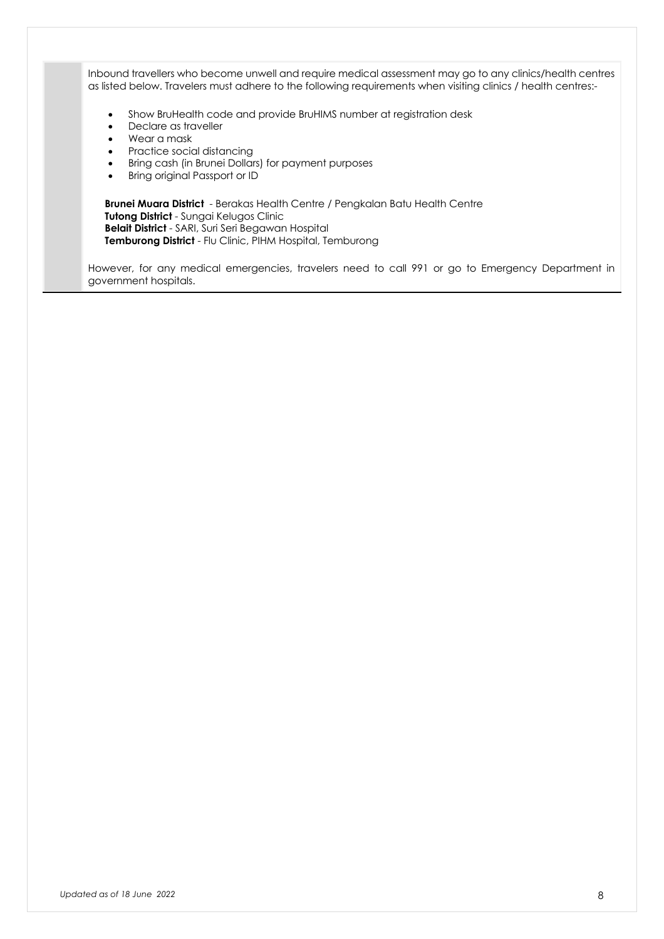Inbound travellers who become unwell and require medical assessment may go to any clinics/health centres as listed below. Travelers must adhere to the following requirements when visiting clinics / health centres:-

- Show BruHealth code and provide BruHIMS number at registration desk
- Declare as traveller
- Wear a mask
- Practice social distancing
- Bring cash (in Brunei Dollars) for payment purposes
- Bring original Passport or ID

**Brunei Muara District** - Berakas Health Centre / Pengkalan Batu Health Centre **Tutong District** - Sungai Kelugos Clinic **Belait District** - SARI, Suri Seri Begawan Hospital **Temburong District** - Flu Clinic, PIHM Hospital, Temburong

However, for any medical emergencies, travelers need to call 991 or go to Emergency Department in government hospitals.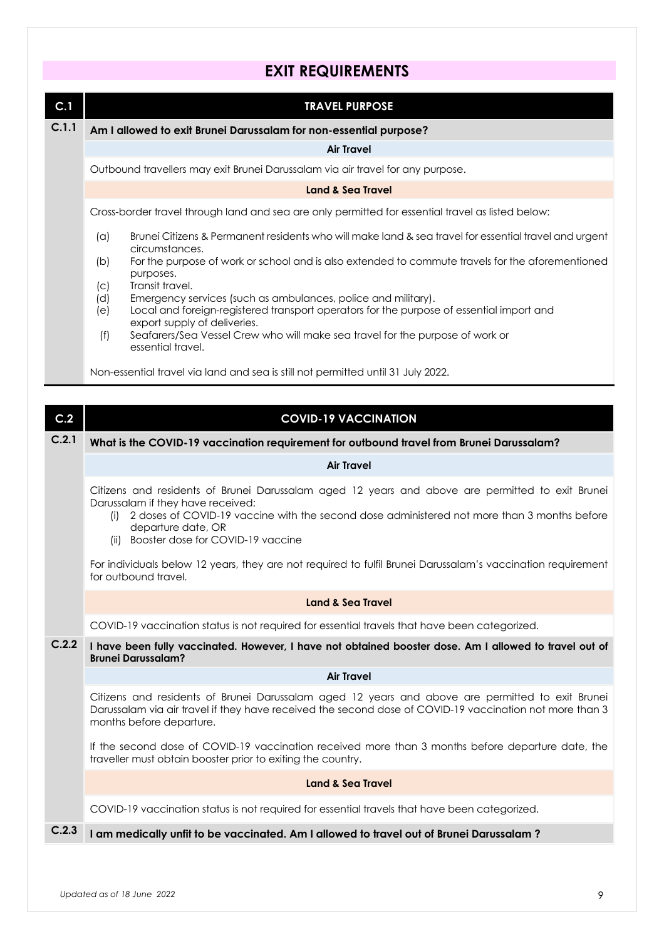### **EXIT REQUIREMENTS**

| C.1   | <b>TRAVEL PURPOSE</b>                                                                                                                                                   |
|-------|-------------------------------------------------------------------------------------------------------------------------------------------------------------------------|
| C.1.1 | Am I allowed to exit Brunei Darussalam for non-essential purpose?                                                                                                       |
|       | <b>Air Travel</b>                                                                                                                                                       |
|       | Outbound travellers may exit Brunei Darussalam via air travel for any purpose.                                                                                          |
|       | <b>Land &amp; Sea Travel</b>                                                                                                                                            |
|       | Cross-border travel through land and sea are only permitted for essential travel as listed below:                                                                       |
|       | Brunei Citizens & Permanent residents who will make land & sea travel for essential travel and urgent<br>(a)<br>circumstances.                                          |
|       | For the purpose of work or school and is also extended to commute travels for the aforementioned<br>(b)<br>purposes.                                                    |
|       | Transit travel.<br>(c)                                                                                                                                                  |
|       | Emergency services (such as ambulances, police and military).<br>(d)<br>Local and foreign-registered transport operators for the purpose of essential import and<br>(e) |
|       | export supply of deliveries.                                                                                                                                            |
|       | Seafarers/Sea Vessel Crew who will make sea travel for the purpose of work or<br>(f)<br>essential travel.                                                               |
|       | Non-essential travel via land and sea is still not permitted until 31 July 2022.                                                                                        |
|       |                                                                                                                                                                         |
| C.2   | <b>COVID-19 VACCINATION</b>                                                                                                                                             |
| C.2.1 | What is the COVID-19 vaccination requirement for outbound travel from Brunei Darussalam?                                                                                |
|       | <b>Air Travel</b>                                                                                                                                                       |
|       | Citizens and residents of Brunei Darussalam aged 12 years and above are permitted to exit Brunei<br>Darussalam if they have received:                                   |

- (i) 2 doses of COVID-19 vaccine with the second dose administered not more than 3 months before departure date, OR
- (ii) Booster dose for COVID-19 vaccine

For individuals below 12 years, they are not required to fulfil Brunei Darussalam's vaccination requirement for outbound travel.

#### **Land & Sea Travel**

COVID-19 vaccination status is not required for essential travels that have been categorized.

#### **C.2.2 I have been fully vaccinated. However, I have not obtained booster dose. Am I allowed to travel out of Brunei Darussalam?**

**Air Travel**

Citizens and residents of Brunei Darussalam aged 12 years and above are permitted to exit Brunei Darussalam via air travel if they have received the second dose of COVID-19 vaccination not more than 3 months before departure.

If the second dose of COVID-19 vaccination received more than 3 months before departure date, the traveller must obtain booster prior to exiting the country.

#### **Land & Sea Travel**

COVID-19 vaccination status is not required for essential travels that have been categorized.

#### **C.2.3 I am medically unfit to be vaccinated. Am I allowed to travel out of Brunei Darussalam ?**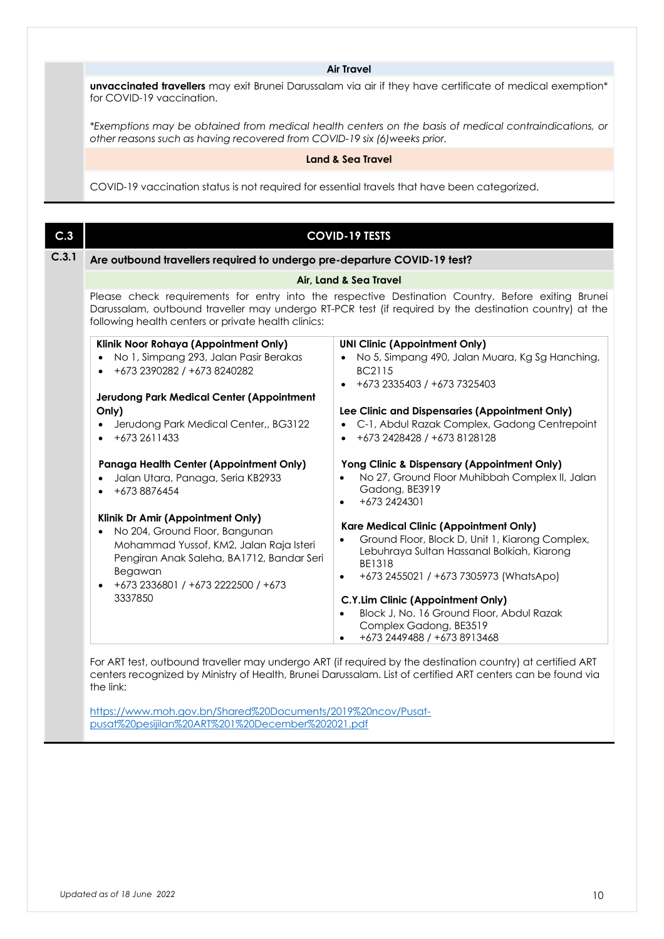#### **Air Travel**

**unvaccinated travellers** may exit Brunei Darussalam via air if they have certificate of medical exemption\* for COVID-19 vaccination.

*\*Exemptions may be obtained from medical health centers on the basis of medical contraindications, or other reasons such as having recovered from COVID-19 six (6)weeks prior.*

#### **Land & Sea Travel**

COVID-19 vaccination status is not required for essential travels that have been categorized.

| C.3   |                                                                                                                                                                                                                                      | <b>COVID-19 TESTS</b>                                                                                                                                                                                                                                       |
|-------|--------------------------------------------------------------------------------------------------------------------------------------------------------------------------------------------------------------------------------------|-------------------------------------------------------------------------------------------------------------------------------------------------------------------------------------------------------------------------------------------------------------|
| C.3.1 | Are outbound travellers required to undergo pre-departure COVID-19 test?                                                                                                                                                             |                                                                                                                                                                                                                                                             |
|       | Air, Land & Sea Travel                                                                                                                                                                                                               |                                                                                                                                                                                                                                                             |
|       | following health centers or private health clinics:                                                                                                                                                                                  | Please check requirements for entry into the respective Destination Country. Before exiting Brunei<br>Darussalam, outbound traveller may undergo RT-PCR test (if required by the destination country) at the                                                |
|       | Klinik Noor Rohaya (Appointment Only)<br>No 1, Simpang 293, Jalan Pasir Berakas<br>$\bullet$<br>+673 2390282 / +673 8240282                                                                                                          | <b>UNI Clinic (Appointment Only)</b><br>• No 5, Simpang 490, Jalan Muara, Kg Sg Hanching,<br>BC2115<br>$+6732335403/+6737325403$                                                                                                                            |
|       | Jerudong Park Medical Center (Appointment<br>Only)                                                                                                                                                                                   | Lee Clinic and Dispensaries (Appointment Only)                                                                                                                                                                                                              |
|       | Jerudong Park Medical Center,, BG3122<br>$+6732611433$                                                                                                                                                                               | C-1, Abdul Razak Complex, Gadong Centrepoint<br>$\bullet$<br>+673 2428428 / +673 8128128<br>$\bullet$                                                                                                                                                       |
|       | Panaga Health Center (Appointment Only)<br>Jalan Utara, Panaga, Seria KB2933<br>+673 8876454                                                                                                                                         | Yong Clinic & Dispensary (Appointment Only)<br>No 27, Ground Floor Muhibbah Complex II, Jalan<br>Gadong, BE3919<br>+673 2424301<br>$\bullet$                                                                                                                |
|       | Klinik Dr Amir (Appointment Only)<br>No 204, Ground Floor, Bangunan<br>$\bullet$<br>Mohammad Yussof, KM2, Jalan Raja Isteri<br>Pengiran Anak Saleha, BA1712, Bandar Seri<br>Begawan<br>+673 2336801 / +673 2222500 / +673<br>3337850 | <b>Kare Medical Clinic (Appointment Only)</b><br>Ground Floor, Block D, Unit 1, Kiarong Complex,<br>Lebuhraya Sultan Hassanal Bolkiah, Kiarong<br><b>BE1318</b><br>+673 2455021 / +673 7305973 (WhatsApo)<br>$\bullet$<br>C.Y.Lim Clinic (Appointment Only) |
|       |                                                                                                                                                                                                                                      | Block J, No. 16 Ground Floor, Abdul Razak<br>Complex Gadong, BE3519<br>+673 2449488 / +673 8913468                                                                                                                                                          |

For ART test, outbound traveller may undergo ART (if required by the destination country) at certified ART centers recognized by Ministry of Health, Brunei Darussalam. List of certified ART centers can be found via the link:

https://www.moh.gov.bn/Shared%20Documents/2019%20ncov/Pusatpusat%20pesijilan%20ART%201%20December%202021.pdf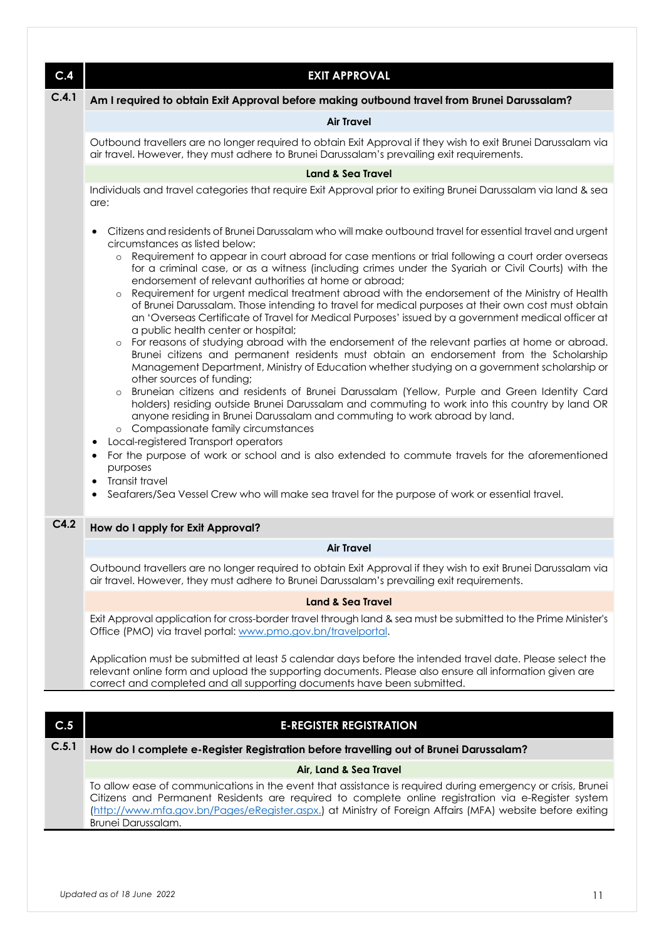| C.4   | <b>EXIT APPROVAL</b>                                                                                                                                                                                                                                                                                                                                                                                                                                                                                                                                                                                                                                                                                                                                                                                                                                                                                                                                                                                                                                                                                                                                                                                                                                                                                                                                                                                                                                                                                                                                                                                                                                                                                                                                                   |
|-------|------------------------------------------------------------------------------------------------------------------------------------------------------------------------------------------------------------------------------------------------------------------------------------------------------------------------------------------------------------------------------------------------------------------------------------------------------------------------------------------------------------------------------------------------------------------------------------------------------------------------------------------------------------------------------------------------------------------------------------------------------------------------------------------------------------------------------------------------------------------------------------------------------------------------------------------------------------------------------------------------------------------------------------------------------------------------------------------------------------------------------------------------------------------------------------------------------------------------------------------------------------------------------------------------------------------------------------------------------------------------------------------------------------------------------------------------------------------------------------------------------------------------------------------------------------------------------------------------------------------------------------------------------------------------------------------------------------------------------------------------------------------------|
| C.4.1 | Am I required to obtain Exit Approval before making outbound travel from Brunei Darussalam?                                                                                                                                                                                                                                                                                                                                                                                                                                                                                                                                                                                                                                                                                                                                                                                                                                                                                                                                                                                                                                                                                                                                                                                                                                                                                                                                                                                                                                                                                                                                                                                                                                                                            |
|       | <b>Air Travel</b>                                                                                                                                                                                                                                                                                                                                                                                                                                                                                                                                                                                                                                                                                                                                                                                                                                                                                                                                                                                                                                                                                                                                                                                                                                                                                                                                                                                                                                                                                                                                                                                                                                                                                                                                                      |
|       | Outbound travellers are no longer required to obtain Exit Approval if they wish to exit Brunei Darussalam via<br>air travel. However, they must adhere to Brunei Darussalam's prevailing exit requirements.                                                                                                                                                                                                                                                                                                                                                                                                                                                                                                                                                                                                                                                                                                                                                                                                                                                                                                                                                                                                                                                                                                                                                                                                                                                                                                                                                                                                                                                                                                                                                            |
|       | <b>Land &amp; Sea Travel</b>                                                                                                                                                                                                                                                                                                                                                                                                                                                                                                                                                                                                                                                                                                                                                                                                                                                                                                                                                                                                                                                                                                                                                                                                                                                                                                                                                                                                                                                                                                                                                                                                                                                                                                                                           |
|       | Individuals and travel categories that require Exit Approval prior to exiting Brunei Darussalam via land & sea<br>are:                                                                                                                                                                                                                                                                                                                                                                                                                                                                                                                                                                                                                                                                                                                                                                                                                                                                                                                                                                                                                                                                                                                                                                                                                                                                                                                                                                                                                                                                                                                                                                                                                                                 |
|       | Citizens and residents of Brunei Darussalam who will make outbound travel for essential travel and urgent<br>circumstances as listed below:<br>Requirement to appear in court abroad for case mentions or trial following a court order overseas<br>$\circ$<br>for a criminal case, or as a witness (including crimes under the Syariah or Civil Courts) with the<br>endorsement of relevant authorities at home or abroad;<br>o Requirement for urgent medical treatment abroad with the endorsement of the Ministry of Health<br>of Brunei Darussalam. Those intending to travel for medical purposes at their own cost must obtain<br>an 'Overseas Certificate of Travel for Medical Purposes' issued by a government medical officer at<br>a public health center or hospital;<br>For reasons of studying abroad with the endorsement of the relevant parties at home or abroad.<br>$\circ$<br>Brunei citizens and permanent residents must obtain an endorsement from the Scholarship<br>Management Department, Ministry of Education whether studying on a government scholarship or<br>other sources of funding;<br>Bruneian citizens and residents of Brunei Darussalam (Yellow, Purple and Green Identity Card<br>$\circ$<br>holders) residing outside Brunei Darussalam and commuting to work into this country by land OR<br>anyone residing in Brunei Darussalam and commuting to work abroad by land.<br>o Compassionate family circumstances<br>Local-registered Transport operators<br>For the purpose of work or school and is also extended to commute travels for the aforementioned<br>$\bullet$<br>purposes<br>Transit travel<br>$\bullet$<br>Seafarers/Sea Vessel Crew who will make sea travel for the purpose of work or essential travel.<br>٠ |
| C4.2  | How do I apply for Exit Approval?                                                                                                                                                                                                                                                                                                                                                                                                                                                                                                                                                                                                                                                                                                                                                                                                                                                                                                                                                                                                                                                                                                                                                                                                                                                                                                                                                                                                                                                                                                                                                                                                                                                                                                                                      |
|       | <b>Air Travel</b>                                                                                                                                                                                                                                                                                                                                                                                                                                                                                                                                                                                                                                                                                                                                                                                                                                                                                                                                                                                                                                                                                                                                                                                                                                                                                                                                                                                                                                                                                                                                                                                                                                                                                                                                                      |
|       | Outbound travellers are no longer required to obtain Exit Approval if they wish to exit Brunei Darussalam via<br>air travel. However, they must adhere to Brunei Darussalam's prevailing exit requirements.                                                                                                                                                                                                                                                                                                                                                                                                                                                                                                                                                                                                                                                                                                                                                                                                                                                                                                                                                                                                                                                                                                                                                                                                                                                                                                                                                                                                                                                                                                                                                            |
|       | <b>Land &amp; Sea Travel</b>                                                                                                                                                                                                                                                                                                                                                                                                                                                                                                                                                                                                                                                                                                                                                                                                                                                                                                                                                                                                                                                                                                                                                                                                                                                                                                                                                                                                                                                                                                                                                                                                                                                                                                                                           |
|       | Exit Approval application for cross-border travel through land & sea must be submitted to the Prime Minister's<br>Office (PMO) via travel portal: www.pmo.gov.bn/travelportal.                                                                                                                                                                                                                                                                                                                                                                                                                                                                                                                                                                                                                                                                                                                                                                                                                                                                                                                                                                                                                                                                                                                                                                                                                                                                                                                                                                                                                                                                                                                                                                                         |
|       | Application must be submitted at least 5 calendar days before the intended travel date. Please select the<br>relevant online form and upload the supporting documents. Please also ensure all information given are<br>correct and completed and all supporting documents have been submitted.                                                                                                                                                                                                                                                                                                                                                                                                                                                                                                                                                                                                                                                                                                                                                                                                                                                                                                                                                                                                                                                                                                                                                                                                                                                                                                                                                                                                                                                                         |
|       |                                                                                                                                                                                                                                                                                                                                                                                                                                                                                                                                                                                                                                                                                                                                                                                                                                                                                                                                                                                                                                                                                                                                                                                                                                                                                                                                                                                                                                                                                                                                                                                                                                                                                                                                                                        |
| C.5   | <b>E-REGISTER REGISTRATION</b>                                                                                                                                                                                                                                                                                                                                                                                                                                                                                                                                                                                                                                                                                                                                                                                                                                                                                                                                                                                                                                                                                                                                                                                                                                                                                                                                                                                                                                                                                                                                                                                                                                                                                                                                         |
| C.5.1 | How do I complete e-Register Registration before travelling out of Brunei Darussalam?                                                                                                                                                                                                                                                                                                                                                                                                                                                                                                                                                                                                                                                                                                                                                                                                                                                                                                                                                                                                                                                                                                                                                                                                                                                                                                                                                                                                                                                                                                                                                                                                                                                                                  |

### **Air, Land & Sea Travel**

To allow ease of communications in the event that assistance is required during emergency or crisis, Brunei Citizens and Permanent Residents are required to complete online registration via e-Register system (http://www.mfa.gov.bn/Pages/eRegister.aspx.) at Ministry of Foreign Affairs (MFA) website before exiting Brunei Darussalam.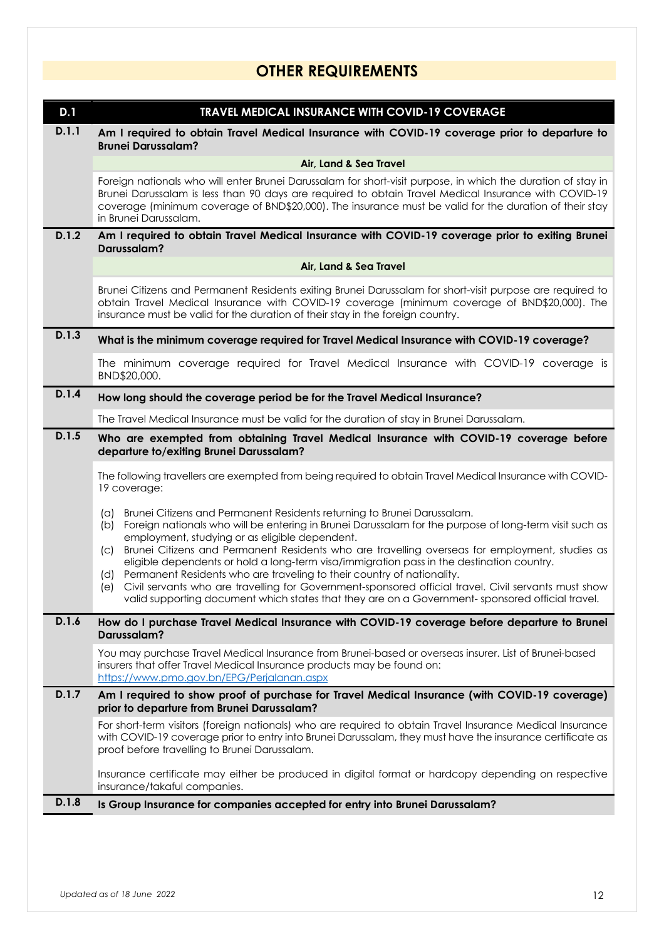### **OTHER REQUIREMENTS**

| D.1   | TRAVEL MEDICAL INSURANCE WITH COVID-19 COVERAGE                                                                                                                                                                                                                                                                                                         |
|-------|---------------------------------------------------------------------------------------------------------------------------------------------------------------------------------------------------------------------------------------------------------------------------------------------------------------------------------------------------------|
| D.1.1 | Am I required to obtain Travel Medical Insurance with COVID-19 coverage prior to departure to<br><b>Brunei Darussalam?</b>                                                                                                                                                                                                                              |
|       | Air, Land & Sea Travel                                                                                                                                                                                                                                                                                                                                  |
|       | Foreign nationals who will enter Brunei Darussalam for short-visit purpose, in which the duration of stay in<br>Brunei Darussalam is less than 90 days are required to obtain Travel Medical Insurance with COVID-19<br>coverage (minimum coverage of BND\$20,000). The insurance must be valid for the duration of their stay<br>in Brunei Darussalam. |
| D.1.2 | Am I required to obtain Travel Medical Insurance with COVID-19 coverage prior to exiting Brunei<br>Darussalam?                                                                                                                                                                                                                                          |
|       | Air, Land & Sea Travel                                                                                                                                                                                                                                                                                                                                  |
|       | Brunei Citizens and Permanent Residents exiting Brunei Darussalam for short-visit purpose are required to<br>obtain Travel Medical Insurance with COVID-19 coverage (minimum coverage of BND\$20,000). The<br>insurance must be valid for the duration of their stay in the foreign country.                                                            |
| D.1.3 | What is the minimum coverage required for Travel Medical Insurance with COVID-19 coverage?                                                                                                                                                                                                                                                              |
|       | The minimum coverage required for Travel Medical Insurance with COVID-19 coverage is<br>BND\$20,000.                                                                                                                                                                                                                                                    |
| D.1.4 | How long should the coverage period be for the Travel Medical Insurance?                                                                                                                                                                                                                                                                                |
|       | The Travel Medical Insurance must be valid for the duration of stay in Brunei Darussalam.                                                                                                                                                                                                                                                               |
| D.1.5 | Who are exempted from obtaining Travel Medical Insurance with COVID-19 coverage before<br>departure to/exiting Brunei Darussalam?                                                                                                                                                                                                                       |
|       | The following travellers are exempted from being required to obtain Travel Medical Insurance with COVID-<br>19 coverage:                                                                                                                                                                                                                                |
|       | Brunei Citizens and Permanent Residents returning to Brunei Darussalam.<br>$(\alpha)$<br>Foreign nationals who will be entering in Brunei Darussalam for the purpose of long-term visit such as<br>(b)                                                                                                                                                  |
|       | employment, studying or as eligible dependent.<br>Brunei Citizens and Permanent Residents who are travelling overseas for employment, studies as<br>(C)                                                                                                                                                                                                 |
|       | eligible dependents or hold a long-term visa/immigration pass in the destination country.<br>Permanent Residents who are traveling to their country of nationality.<br>(d)                                                                                                                                                                              |
|       | Civil servants who are travelling for Government-sponsored official travel. Civil servants must show<br>(e)<br>valid supporting document which states that they are on a Government-sponsored official travel.                                                                                                                                          |
| D.1.6 | How do I purchase Travel Medical Insurance with COVID-19 coverage before departure to Brunei<br>Darussalam?                                                                                                                                                                                                                                             |
|       | You may purchase Travel Medical Insurance from Brunei-based or overseas insurer. List of Brunei-based<br>insurers that offer Travel Medical Insurance products may be found on:<br>https://www.pmo.gov.bn/EPG/Perjalanan.aspx                                                                                                                           |
| D.1.7 | Am I required to show proof of purchase for Travel Medical Insurance (with COVID-19 coverage)<br>prior to departure from Brunei Darussalam?                                                                                                                                                                                                             |
|       | For short-term visitors (foreign nationals) who are required to obtain Travel Insurance Medical Insurance<br>with COVID-19 coverage prior to entry into Brunei Darussalam, they must have the insurance certificate as<br>proof before travelling to Brunei Darussalam.                                                                                 |
|       | Insurance certificate may either be produced in digital format or hardcopy depending on respective<br>insurance/takaful companies.                                                                                                                                                                                                                      |
| D.1.8 | Is Group Insurance for companies accepted for entry into Brunei Darussalam?                                                                                                                                                                                                                                                                             |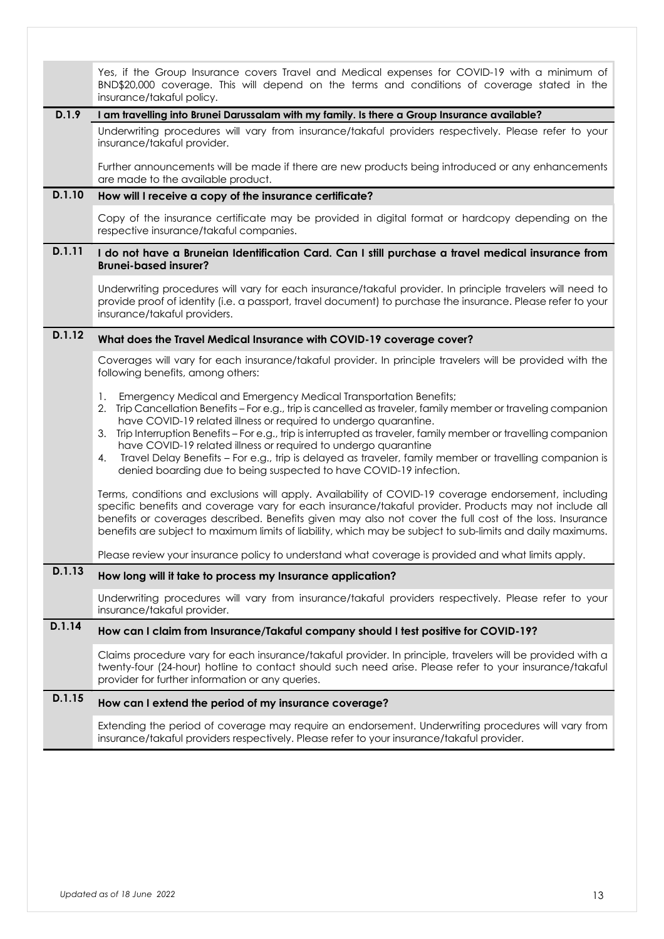|        | Yes, if the Group Insurance covers Travel and Medical expenses for COVID-19 with a minimum of<br>BND\$20,000 coverage. This will depend on the terms and conditions of coverage stated in the<br>insurance/takaful policy.                                                                                                                                                                                                                                                                                                                                                                                                                      |
|--------|-------------------------------------------------------------------------------------------------------------------------------------------------------------------------------------------------------------------------------------------------------------------------------------------------------------------------------------------------------------------------------------------------------------------------------------------------------------------------------------------------------------------------------------------------------------------------------------------------------------------------------------------------|
| D.1.9  | I am travelling into Brunei Darussalam with my family. Is there a Group Insurance available?                                                                                                                                                                                                                                                                                                                                                                                                                                                                                                                                                    |
|        | Underwriting procedures will vary from insurance/takaful providers respectively. Please refer to your<br>insurance/takaful provider.                                                                                                                                                                                                                                                                                                                                                                                                                                                                                                            |
|        | Further announcements will be made if there are new products being introduced or any enhancements<br>are made to the available product.                                                                                                                                                                                                                                                                                                                                                                                                                                                                                                         |
| D.1.10 | How will I receive a copy of the insurance certificate?                                                                                                                                                                                                                                                                                                                                                                                                                                                                                                                                                                                         |
|        | Copy of the insurance certificate may be provided in digital format or hardcopy depending on the<br>respective insurance/takaful companies.                                                                                                                                                                                                                                                                                                                                                                                                                                                                                                     |
| D.1.11 | I do not have a Bruneian Identification Card. Can I still purchase a travel medical insurance from<br><b>Brunei-based insurer?</b>                                                                                                                                                                                                                                                                                                                                                                                                                                                                                                              |
|        | Underwriting procedures will vary for each insurance/takaful provider. In principle travelers will need to<br>provide proof of identity (i.e. a passport, travel document) to purchase the insurance. Please refer to your<br>insurance/takaful providers.                                                                                                                                                                                                                                                                                                                                                                                      |
| D.1.12 | What does the Travel Medical Insurance with COVID-19 coverage cover?                                                                                                                                                                                                                                                                                                                                                                                                                                                                                                                                                                            |
|        | Coverages will vary for each insurance/takaful provider. In principle travelers will be provided with the<br>following benefits, among others:                                                                                                                                                                                                                                                                                                                                                                                                                                                                                                  |
|        | Emergency Medical and Emergency Medical Transportation Benefits;<br>1.<br>Trip Cancellation Benefits - For e.g., trip is cancelled as traveler, family member or traveling companion<br>2.<br>have COVID-19 related illness or required to undergo quarantine.<br>Trip Interruption Benefits - For e.g., trip is interrupted as traveler, family member or travelling companion<br>З.<br>have COVID-19 related illness or required to undergo quarantine<br>Travel Delay Benefits - For e.g., trip is delayed as traveler, family member or travelling companion is<br>4.<br>denied boarding due to being suspected to have COVID-19 infection. |
|        | Terms, conditions and exclusions will apply. Availability of COVID-19 coverage endorsement, including<br>specific benefits and coverage vary for each insurance/takaful provider. Products may not include all<br>benefits or coverages described. Benefits given may also not cover the full cost of the loss. Insurance<br>benefits are subject to maximum limits of liability, which may be subject to sub-limits and daily maximums.                                                                                                                                                                                                        |
|        | Please review your insurance policy to understand what coverage is provided and what limits apply.                                                                                                                                                                                                                                                                                                                                                                                                                                                                                                                                              |
| D.1.13 | How long will it take to process my Insurance application?                                                                                                                                                                                                                                                                                                                                                                                                                                                                                                                                                                                      |
|        | Underwriting procedures will vary from insurance/takaful providers respectively. Please refer to your<br>insurance/takaful provider.                                                                                                                                                                                                                                                                                                                                                                                                                                                                                                            |
| D.1.14 | How can I claim from Insurance/Takaful company should I test positive for COVID-19?                                                                                                                                                                                                                                                                                                                                                                                                                                                                                                                                                             |
|        | Claims procedure vary for each insurance/takaful provider. In principle, travelers will be provided with a<br>twenty-four (24-hour) hotline to contact should such need arise. Please refer to your insurance/takaful<br>provider for further information or any queries.                                                                                                                                                                                                                                                                                                                                                                       |
| D.1.15 | How can I extend the period of my insurance coverage?                                                                                                                                                                                                                                                                                                                                                                                                                                                                                                                                                                                           |
|        | Extending the period of coverage may require an endorsement. Underwriting procedures will vary from<br>insurance/takaful providers respectively. Please refer to your insurance/takaful provider.                                                                                                                                                                                                                                                                                                                                                                                                                                               |